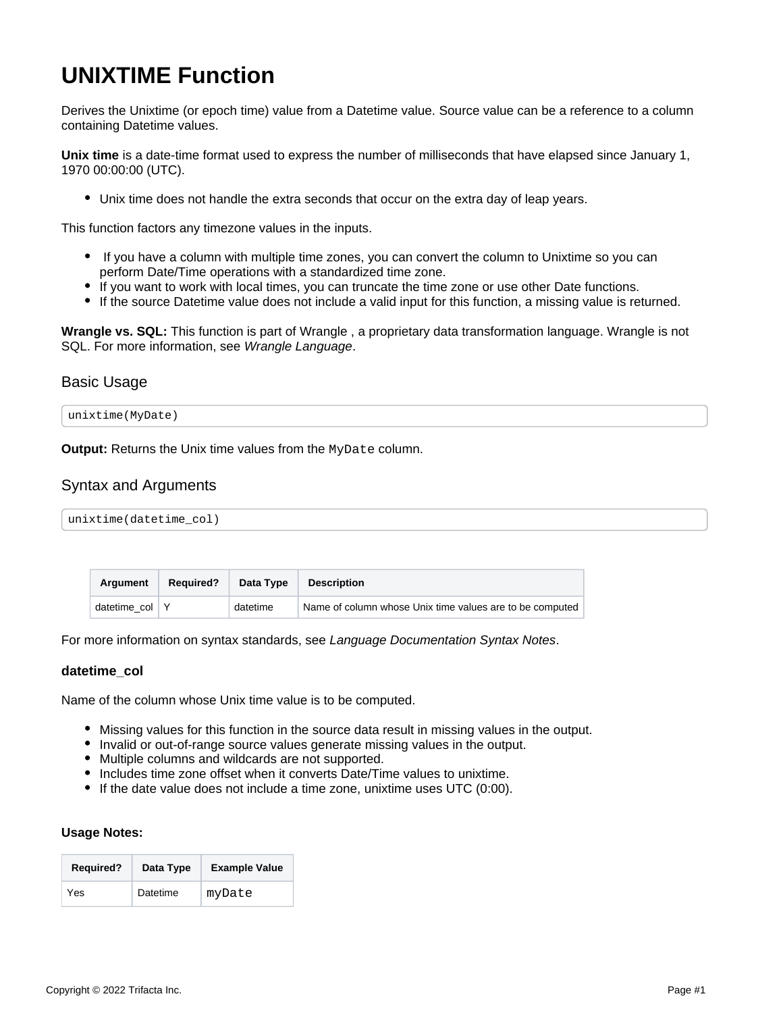# <span id="page-0-0"></span>**UNIXTIME Function**

Derives the Unixtime (or epoch time) value from a Datetime value. Source value can be a reference to a column containing Datetime values.

**Unix time** is a date-time format used to express the number of milliseconds that have elapsed since January 1, 1970 00:00:00 (UTC).

Unix time does not handle the extra seconds that occur on the extra day of leap years.

This function factors any timezone values in the inputs.

- If you have a column with multiple time zones, you can convert the column to Unixtime so you can perform Date/Time operations with a standardized time zone.
- If you want to work with local times, you can truncate the time zone or use other Date functions.
- If the source Datetime value does not include a valid input for this function, a missing value is returned.

**Wrangle vs. SQL:** This function is part of Wrangle , a proprietary data transformation language. Wrangle is not SQL. For more information, see [Wrangle Language](https://docs.trifacta.com/display/r082/Wrangle+Language).

## Basic Usage



**Output:** Returns the Unix time values from the MyDate column.

# Syntax and Arguments

unixtime(datetime\_col)

| Araument           | <b>Required?</b> | Data Type | <b>Description</b>                                       |
|--------------------|------------------|-----------|----------------------------------------------------------|
| datetime $col$ $Y$ |                  | datetime  | Name of column whose Unix time values are to be computed |

For more information on syntax standards, see [Language Documentation Syntax Notes](https://docs.trifacta.com/display/r082/Language+Documentation+Syntax+Notes).

### **datetime\_col**

Name of the column whose Unix time value is to be computed.

- $\bullet$  Missing values for this function in the source data result in missing values in the output.
- Invalid or out-of-range source values generate missing values in the output.
- Multiple columns and wildcards are not supported.
- Includes time zone offset when it converts Date/Time values to unixtime.
- If the date value does not include a time zone, unixtime uses UTC (0:00).

### **Usage Notes:**

| <b>Required?</b> | Data Type | <b>Example Value</b> |
|------------------|-----------|----------------------|
| Yes              | Datetime  | myDate               |